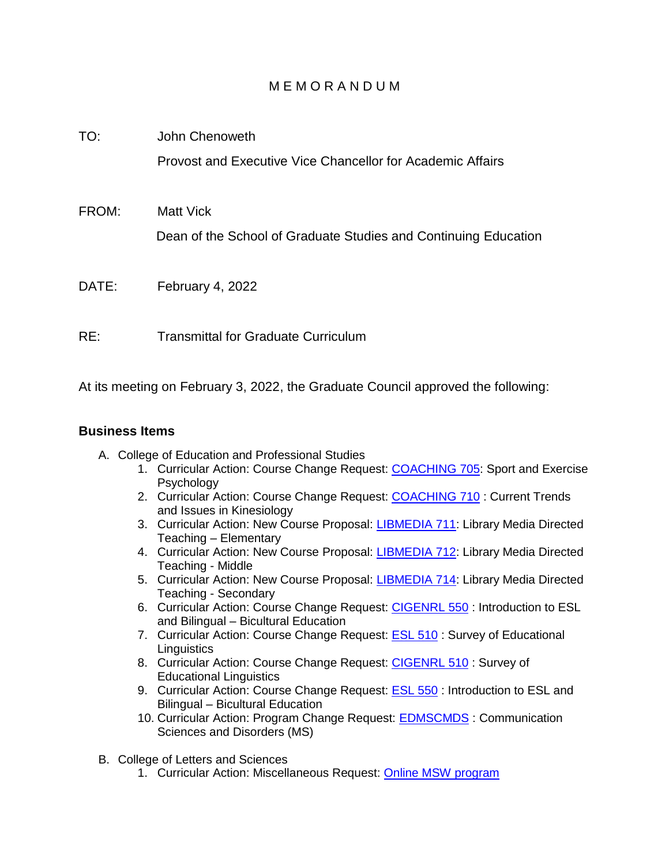## M E M O R A N D U M

| TO:   | John Chenoweth                                                  |
|-------|-----------------------------------------------------------------|
|       | Provost and Executive Vice Chancellor for Academic Affairs      |
|       |                                                                 |
| FROM: | <b>Matt Vick</b>                                                |
|       | Dean of the School of Graduate Studies and Continuing Education |
|       |                                                                 |
| DATE: | February 4, 2022                                                |
|       |                                                                 |
| RE:   | <b>Transmittal for Graduate Curriculum</b>                      |
|       |                                                                 |

At its meeting on February 3, 2022, the Graduate Council approved the following:

## **Business Items**

- A. College of Education and Professional Studies
	- 1. Curricular Action: Course Change Request: [COACHING 705:](https://uww-next.courseleaf.com/courseleaf/courseleaf.cgi?page=/courseadmin/1113/index.html&step=showfullrecord) Sport and Exercise **Psychology**
	- 2. Curricular Action: Course Change Request: [COACHING 710](https://uww-next.courseleaf.com/courseleaf/courseleaf.cgi?page=/courseadmin/1114/index.html&step=showfullrecord) : Current Trends and Issues in Kinesiology
	- 3. Curricular Action: New Course Proposal: [LIBMEDIA 711:](https://uww-next.courseleaf.com/courseleaf/courseleaf.cgi?page=/courseadmin/6546/index.html&step=showfullrecord) Library Media Directed Teaching – Elementary
	- 4. Curricular Action: New Course Proposal: [LIBMEDIA 712:](https://uww-next.courseleaf.com/courseleaf/courseleaf.cgi?page=/courseadmin/6560/index.html&step=showfullrecord) Library Media Directed Teaching - Middle
	- 5. Curricular Action: New Course Proposal: [LIBMEDIA 714:](https://uww-next.courseleaf.com/courseleaf/courseleaf.cgi?page=/courseadmin/6561/index.html&step=showfullrecord) Library Media Directed Teaching - Secondary
	- 6. Curricular Action: Course Change Request: [CIGENRL 550](https://uww-next.courseleaf.com/courseleaf/courseleaf.cgi?page=/courseadmin/1008/index.html&step=showfullrecord) : Introduction to ESL and Bilingual – Bicultural Education
	- 7. Curricular Action: Course Change Request: [ESL 510](https://uww-next.courseleaf.com/courseleaf/courseleaf.cgi?page=/courseadmin/3822/index.html&step=showfullrecord) : Survey of Educational **Linguistics**
	- 8. Curricular Action: Course Change Request: [CIGENRL 510](https://uww-next.courseleaf.com/courseleaf/courseleaf.cgi?page=/courseadmin/3824/index.html&step=showfullrecord) : Survey of Educational Linguistics
	- 9. Curricular Action: Course Change Request: **ESL 550**: Introduction to ESL and Bilingual – Bicultural Education
	- 10. Curricular Action: Program Change Request: [EDMSCMDS](https://uww-next.courseleaf.com/courseleaf/courseleaf.cgi?page=/programadmin/64/index.html&step=showfullrecord) : Communication Sciences and Disorders (MS)
- B. College of Letters and Sciences
	- 1. Curricular Action: Miscellaneous Request: [Online MSW program](https://uww-next.courseleaf.com/courseleaf/courseleaf.cgi?page=/miscadmin/114/index.html&step=showfullrecord)